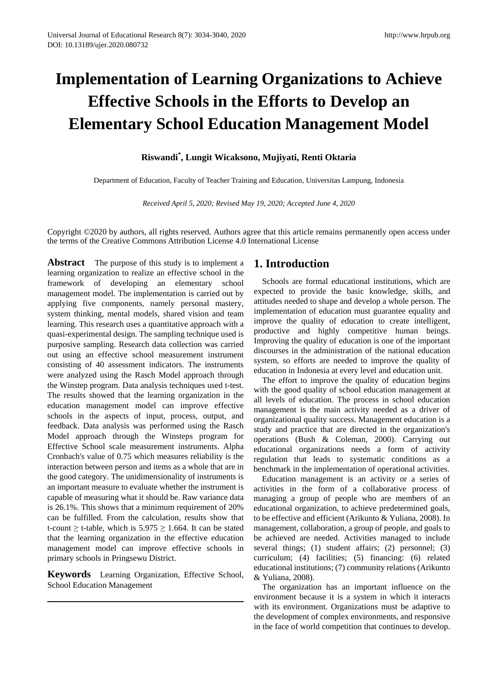# **Implementation of Learning Organizations to Achieve Effective Schools in the Efforts to Develop an Elementary School Education Management Model**

## **Riswandi\* , Lungit Wicaksono, Mujiyati, Renti Oktaria**

Department of Education, Faculty of Teacher Training and Education, Universitas Lampung, Indonesia

*Received April 5, 2020; Revised May 19, 2020; Accepted June 4, 2020*

Copyright ©2020 by authors, all rights reserved. Authors agree that this article remains permanently open access under the terms of the Creative Commons Attribution License 4.0 International License

**Abstract** The purpose of this study is to implement a learning organization to realize an effective school in the framework of developing an elementary school management model. The implementation is carried out by applying five components, namely personal mastery, system thinking, mental models, shared vision and team learning. This research uses a quantitative approach with a quasi-experimental design. The sampling technique used is purposive sampling. Research data collection was carried out using an effective school measurement instrument consisting of 40 assessment indicators. The instruments were analyzed using the Rasch Model approach through the Winstep program. Data analysis techniques used t-test. The results showed that the learning organization in the education management model can improve effective schools in the aspects of input, process, output, and feedback. Data analysis was performed using the Rasch Model approach through the Winsteps program for Effective School scale measurement instruments. Alpha Cronbach's value of 0.75 which measures reliability is the interaction between person and items as a whole that are in the good category. The unidimensionality of instruments is an important measure to evaluate whether the instrument is capable of measuring what it should be. Raw variance data is 26.1%. This shows that a minimum requirement of 20% can be fulfilled. From the calculation, results show that t-count  $\geq$  t-table, which is 5.975  $\geq$  1.664. It can be stated that the learning organization in the effective education management model can improve effective schools in primary schools in Pringsewu District.

**Keywords** Learning Organization, Effective School, School Education Management

## **1. Introduction**

Schools are formal educational institutions, which are expected to provide the basic knowledge, skills, and attitudes needed to shape and develop a whole person. The implementation of education must guarantee equality and improve the quality of education to create intelligent, productive and highly competitive human beings. Improving the quality of education is one of the important discourses in the administration of the national education system, so efforts are needed to improve the quality of education in Indonesia at every level and education unit.

The effort to improve the quality of education begins with the good quality of school education management at all levels of education. The process in school education management is the main activity needed as a driver of organizational quality success. Management education is a study and practice that are directed in the organization's operations (Bush & Coleman, 2000). Carrying out educational organizations needs a form of activity regulation that leads to systematic conditions as a benchmark in the implementation of operational activities.

Education management is an activity or a series of activities in the form of a collaborative process of managing a group of people who are members of an educational organization, to achieve predetermined goals, to be effective and efficient (Arikunto & Yuliana, 2008). In management, collaboration, a group of people, and goals to be achieved are needed. Activities managed to include several things; (1) student affairs; (2) personnel; (3) curriculum; (4) facilities; (5) financing: (6) related educational institutions; (7) community relations (Arikunto & Yuliana, 2008).

The organization has an important influence on the environment because it is a system in which it interacts with its environment. Organizations must be adaptive to the development of complex environments, and responsive in the face of world competition that continues to develop.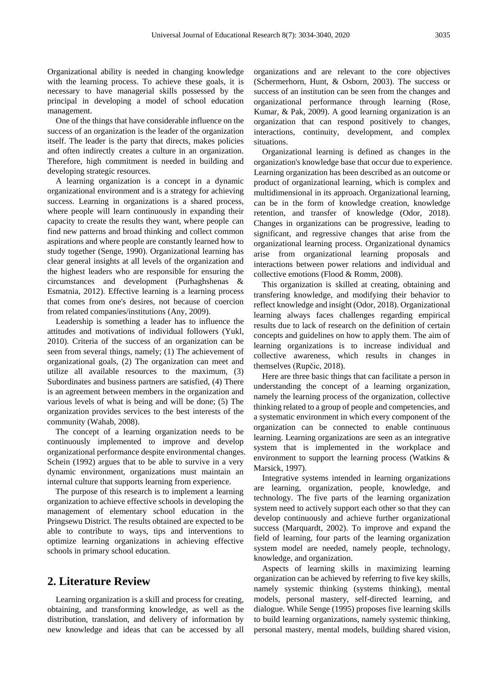Organizational ability is needed in changing knowledge with the learning process. To achieve these goals, it is necessary to have managerial skills possessed by the principal in developing a model of school education management.

One of the things that have considerable influence on the success of an organization is the leader of the organization itself. The leader is the party that directs, makes policies and often indirectly creates a culture in an organization. Therefore, high commitment is needed in building and developing strategic resources.

A learning organization is a concept in a dynamic organizational environment and is a strategy for achieving success. Learning in organizations is a shared process, where people will learn continuously in expanding their capacity to create the results they want, where people can find new patterns and broad thinking and collect common aspirations and where people are constantly learned how to study together (Senge, 1990). Organizational learning has clear general insights at all levels of the organization and the highest leaders who are responsible for ensuring the circumstances and development (Purhaghshenas & Esmatnia, 2012). Effective learning is a learning process that comes from one's desires, not because of coercion from related companies/institutions (Any, 2009).

Leadership is something a leader has to influence the attitudes and motivations of individual followers (Yukl, 2010). Criteria of the success of an organization can be seen from several things, namely; (1) The achievement of organizational goals, (2) The organization can meet and utilize all available resources to the maximum, (3) Subordinates and business partners are satisfied, (4) There is an agreement between members in the organization and various levels of what is being and will be done; (5) The organization provides services to the best interests of the community (Wahab, 2008).

The concept of a learning organization needs to be continuously implemented to improve and develop organizational performance despite environmental changes. Schein (1992) argues that to be able to survive in a very dynamic environment, organizations must maintain an internal culture that supports learning from experience.

The purpose of this research is to implement a learning organization to achieve effective schools in developing the management of elementary school education in the Pringsewu District. The results obtained are expected to be able to contribute to ways, tips and interventions to optimize learning organizations in achieving effective schools in primary school education.

## **2. Literature Review**

Learning organization is a skill and process for creating, obtaining, and transforming knowledge, as well as the distribution, translation, and delivery of information by new knowledge and ideas that can be accessed by all organizations and are relevant to the core objectives (Schermerhorn, Hunt, & Osborn, 2003). The success or success of an institution can be seen from the changes and organizational performance through learning (Rose, Kumar, & Pak, 2009). A good learning organization is an organization that can respond positively to changes, interactions, continuity, development, and complex situations.

Organizational learning is defined as changes in the organization's knowledge base that occur due to experience. Learning organization has been described as an outcome or product of organizational learning, which is complex and multidimensional in its approach. Organizational learning, can be in the form of knowledge creation, knowledge retention, and transfer of knowledge (Odor, 2018). Changes in organizations can be progressive, leading to significant, and regressive changes that arise from the organizational learning process. Organizational dynamics arise from organizational learning proposals and interactions between power relations and individual and collective emotions (Flood & Romm, 2008).

This organization is skilled at creating, obtaining and transfering knowledge, and modifying their behavior to reflect knowledge and insight (Odor, 2018). Organizational learning always faces challenges regarding empirical results due to lack of research on the definition of certain concepts and guidelines on how to apply them. The aim of learning organizations is to increase individual and collective awareness, which results in changes in themselves (Rupčic, 2018).

Here are three basic things that can facilitate a person in understanding the concept of a learning organization, namely the learning process of the organization, collective thinking related to a group of people and competencies, and a systematic environment in which every component of the organization can be connected to enable continuous learning. Learning organizations are seen as an integrative system that is implemented in the workplace and environment to support the learning process (Watkins & Marsick, 1997).

Integrative systems intended in learning organizations are learning, organization, people, knowledge, and technology. The five parts of the learning organization system need to actively support each other so that they can develop continuously and achieve further organizational success (Marquardt, 2002). To improve and expand the field of learning, four parts of the learning organization system model are needed, namely people, technology, knowledge, and organization.

Aspects of learning skills in maximizing learning organization can be achieved by referring to five key skills, namely systemic thinking (systems thinking), mental models, personal mastery, self-directed learning, and dialogue. While Senge (1995) proposes five learning skills to build learning organizations, namely systemic thinking, personal mastery, mental models, building shared vision,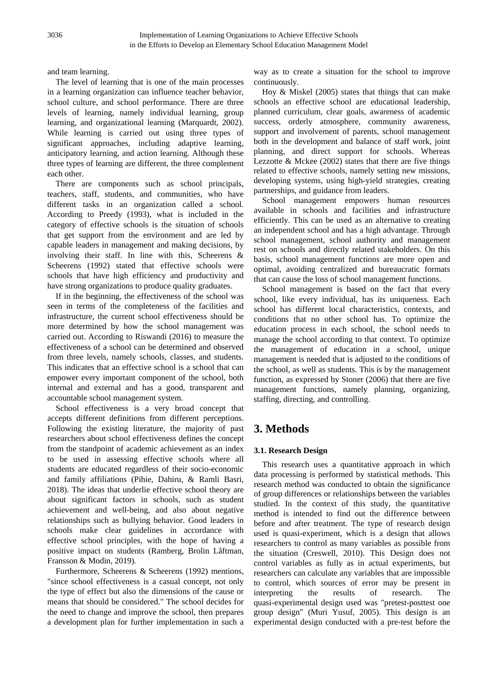and team learning.

The level of learning that is one of the main processes in a learning organization can influence teacher behavior, school culture, and school performance. There are three levels of learning, namely individual learning, group learning, and organizational learning (Marquardt, 2002). While learning is carried out using three types of significant approaches, including adaptive learning, anticipatory learning, and action learning. Although these three types of learning are different, the three complement each other.

There are components such as school principals, teachers, staff, students, and communities, who have different tasks in an organization called a school. According to Preedy (1993), what is included in the category of effective schools is the situation of schools that get support from the environment and are led by capable leaders in management and making decisions, by involving their staff. In line with this, Scheerens & Scheerens (1992) stated that effective schools were schools that have high efficiency and productivity and have strong organizations to produce quality graduates.

If in the beginning, the effectiveness of the school was seen in terms of the completeness of the facilities and infrastructure, the current school effectiveness should be more determined by how the school management was carried out. According to Riswandi (2016) to measure the effectiveness of a school can be determined and observed from three levels, namely schools, classes, and students. This indicates that an effective school is a school that can empower every important component of the school, both internal and external and has a good, transparent and accountable school management system.

School effectiveness is a very broad concept that accepts different definitions from different perceptions. Following the existing literature, the majority of past researchers about school effectiveness defines the concept from the standpoint of academic achievement as an index to be used in assessing effective schools where all students are educated regardless of their socio-economic and family affiliations (Pihie, Dahiru, & Ramli Basri, 2018). The ideas that underlie effective school theory are about significant factors in schools, such as student achievement and well-being, and also about negative relationships such as bullying behavior. Good leaders in schools make clear guidelines in accordance with effective school principles, with the hope of having a positive impact on students (Ramberg, Brolin Låftman, Fransson & Modin, 2019).

Furthermore, Scheerens & Scheerens (1992) mentions, "since school effectiveness is a casual concept, not only the type of effect but also the dimensions of the cause or means that should be considered." The school decides for the need to change and improve the school, then prepares a development plan for further implementation in such a

way as to create a situation for the school to improve continuously.

Hoy & Miskel (2005) states that things that can make schools an effective school are educational leadership, planned curriculum, clear goals, awareness of academic success, orderly atmosphere, community awareness, support and involvement of parents, school management both in the development and balance of staff work, joint planning, and direct support for schools. Whereas Lezzotte  $&$  Mckee (2002) states that there are five things related to effective schools, namely setting new missions, developing systems, using high-yield strategies, creating partnerships, and guidance from leaders.

School management empowers human resources available in schools and facilities and infrastructure efficiently. This can be used as an alternative to creating an independent school and has a high advantage. Through school management, school authority and management rest on schools and directly related stakeholders. On this basis, school management functions are more open and optimal, avoiding centralized and bureaucratic formats that can cause the loss of school management functions.

School management is based on the fact that every school, like every individual, has its uniqueness. Each school has different local characteristics, contexts, and conditions that no other school has. To optimize the education process in each school, the school needs to manage the school according to that context. To optimize the management of education in a school, unique management is needed that is adjusted to the conditions of the school, as well as students. This is by the management function, as expressed by Stoner (2006) that there are five management functions, namely planning, organizing, staffing, directing, and controlling.

## **3. Methods**

#### **3.1. Research Design**

This research uses a quantitative approach in which data processing is performed by statistical methods. This research method was conducted to obtain the significance of group differences or relationships between the variables studied. In the context of this study, the quantitative method is intended to find out the difference between before and after treatment. The type of research design used is quasi-experiment, which is a design that allows researchers to control as many variables as possible from the situation (Creswell, 2010). This Design does not control variables as fully as in actual experiments, but researchers can calculate any variables that are impossible to control, which sources of error may be present in interpreting the results of research. The quasi-experimental design used was "pretest-posttest one group design" (Muri Yusuf, 2005). This design is an experimental design conducted with a pre-test before the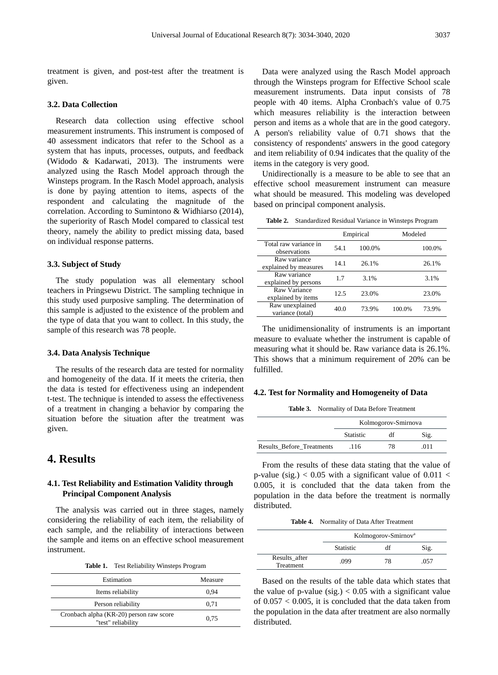treatment is given, and post-test after the treatment is given.

#### **3.2. Data Collection**

Research data collection using effective school measurement instruments. This instrument is composed of 40 assessment indicators that refer to the School as a system that has inputs, processes, outputs, and feedback (Widodo & Kadarwati, 2013). The instruments were analyzed using the Rasch Model approach through the Winsteps program. In the Rasch Model approach, analysis is done by paying attention to items, aspects of the respondent and calculating the magnitude of the correlation. According to Sumintono & Widhiarso (2014), the superiority of Rasch Model compared to classical test theory, namely the ability to predict missing data, based on individual response patterns.

#### **3.3. Subject of Study**

The study population was all elementary school teachers in Pringsewu District. The sampling technique in this study used purposive sampling. The determination of this sample is adjusted to the existence of the problem and the type of data that you want to collect. In this study, the sample of this research was 78 people.

#### **3.4. Data Analysis Technique**

The results of the research data are tested for normality and homogeneity of the data. If it meets the criteria, then the data is tested for effectiveness using an independent t-test. The technique is intended to assess the effectiveness of a treatment in changing a behavior by comparing the situation before the situation after the treatment was given.

## **4. Results**

#### **4.1. Test Reliability and Estimation Validity through Principal Component Analysis**

The analysis was carried out in three stages, namely considering the reliability of each item, the reliability of each sample, and the reliability of interactions between the sample and items on an effective school measurement instrument.

**Table 1.** Test Reliability Winsteps Program

| Estimation                                                    | Measure |
|---------------------------------------------------------------|---------|
| Items reliability                                             | 0.94    |
| Person reliability                                            | 0.71    |
| Cronbach alpha (KR-20) person raw score<br>"test" reliability | 0.75    |

Data were analyzed using the Rasch Model approach through the Winsteps program for Effective School scale measurement instruments. Data input consists of 78 people with 40 items. Alpha Cronbach's value of 0.75 which measures reliability is the interaction between person and items as a whole that are in the good category. A person's reliability value of 0.71 shows that the consistency of respondents' answers in the good category and item reliability of 0.94 indicates that the quality of the items in the category is very good.

Unidirectionally is a measure to be able to see that an effective school measurement instrument can measure what should be measured. This modeling was developed based on principal component analysis.

**Table 2.** Standardized Residual Variance in Winsteps Program

|                                       | Empirical |        | Modeled |        |
|---------------------------------------|-----------|--------|---------|--------|
| Total raw variance in<br>observations | 54.1      | 100.0% |         | 100.0% |
| Raw variance<br>explained by measures | 14.1      | 26.1%  |         | 26.1%  |
| Raw variance<br>explained by persons  | 1.7       | 3.1%   |         | 3.1%   |
| Raw Variance<br>explained by items    | 12.5      | 23.0%  |         | 23.0%  |
| Raw unexplained<br>variance (total)   | 40.0      | 73.9%  | 100.0%  | 73.9%  |

The unidimensionality of instruments is an important measure to evaluate whether the instrument is capable of measuring what it should be. Raw variance data is 26.1%. This shows that a minimum requirement of 20% can be fulfilled.

#### **4.2. Test for Normality and Homogeneity of Data**

**Table 3.** Normality of Data Before Treatment

|                                  | Kolmogorov-Smirnova |    |      |
|----------------------------------|---------------------|----|------|
|                                  | <b>Statistic</b>    | df | Sig. |
| <b>Results Before Treatments</b> | .116                | 78 | 011  |

From the results of these data stating that the value of p-value (sig.)  $< 0.05$  with a significant value of 0.011  $<$ 0.005, it is concluded that the data taken from the population in the data before the treatment is normally distributed.

**Table 4.** Normality of Data After Treatment

|                            | Kolmogorov-Smirnov <sup>a</sup> |    |      |
|----------------------------|---------------------------------|----|------|
|                            | <b>Statistic</b>                |    | Sig. |
| Results after<br>Treatment | .099                            | 78 | .057 |

Based on the results of the table data which states that the value of p-value (sig.)  $< 0.05$  with a significant value of 0.057 < 0.005, it is concluded that the data taken from the population in the data after treatment are also normally distributed.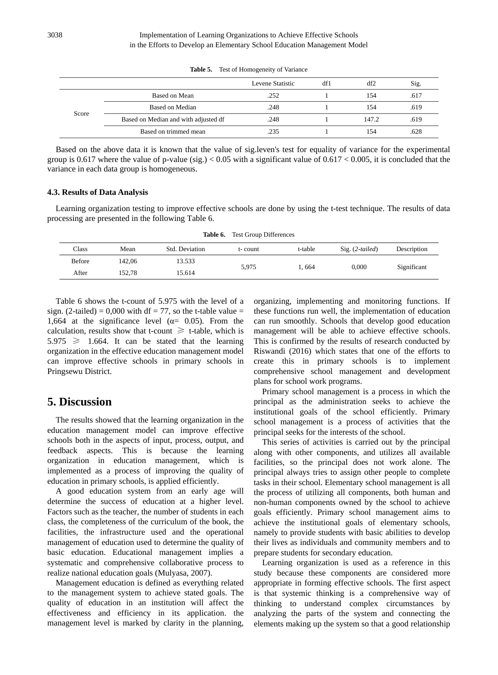|       |                                      | Levene Statistic | df1 | df2   | Sig. |
|-------|--------------------------------------|------------------|-----|-------|------|
| Score | Based on Mean                        | .252             |     | 154   | .617 |
|       | Based on Median                      | .248             |     | 154   | .619 |
|       | Based on Median and with adjusted df | .248             |     | 147.2 | .619 |
|       | Based on trimmed mean                | .235             |     | 154   | .628 |

**Table 5.** Test of Homogeneity of Variance

Based on the above data it is known that the value of sig.leven's test for equality of variance for the experimental group is 0.617 where the value of p-value (sig.)  $< 0.05$  with a significant value of 0.617  $< 0.005$ , it is concluded that the variance in each data group is homogeneous.

#### **4.3. Results of Data Analysis**

Learning organization testing to improve effective schools are done by using the t-test technique. The results of data processing are presented in the following Table 6.

**Table 6.** Test Group Differences

| $\text{Class}$ | Mean   | Std. Deviation | t-count | t-table | $Sig. (2-tailed)$ | Description |
|----------------|--------|----------------|---------|---------|-------------------|-------------|
| <b>Before</b>  | 142.06 | 13.533         | 5,975   | 1.664   | 0.000             |             |
| After          | 152.78 | 15.614         |         |         |                   | Significant |

Table 6 shows the t-count of 5.975 with the level of a sign. (2-tailed) = 0,000 with df = 77, so the t-table value = 1,664 at the significance level ( $\alpha$ = 0.05). From the calculation, results show that t-count  $\ge$  t-table, which is  $5.975 \geq 1.664$ . It can be stated that the learning organization in the effective education management model can improve effective schools in primary schools in Pringsewu District.

## **5. Discussion**

The results showed that the learning organization in the education management model can improve effective schools both in the aspects of input, process, output, and feedback aspects. This is because the learning organization in education management, which is implemented as a process of improving the quality of education in primary schools, is applied efficiently.

A good education system from an early age will determine the success of education at a higher level. Factors such as the teacher, the number of students in each class, the completeness of the curriculum of the book, the facilities, the infrastructure used and the operational management of education used to determine the quality of basic education. Educational management implies a systematic and comprehensive collaborative process to realize national education goals (Mulyasa, 2007).

Management education is defined as everything related to the management system to achieve stated goals. The quality of education in an institution will affect the effectiveness and efficiency in its application. the management level is marked by clarity in the planning,

organizing, implementing and monitoring functions. If these functions run well, the implementation of education can run smoothly. Schools that develop good education management will be able to achieve effective schools. This is confirmed by the results of research conducted by Riswandi (2016) which states that one of the efforts to create this in primary schools is to implement comprehensive school management and development plans for school work programs.

Primary school management is a process in which the principal as the administration seeks to achieve the institutional goals of the school efficiently. Primary school management is a process of activities that the principal seeks for the interests of the school.

This series of activities is carried out by the principal along with other components, and utilizes all available facilities, so the principal does not work alone. The principal always tries to assign other people to complete tasks in their school. Elementary school management is all the process of utilizing all components, both human and non-human components owned by the school to achieve goals efficiently. Primary school management aims to achieve the institutional goals of elementary schools, namely to provide students with basic abilities to develop their lives as individuals and community members and to prepare students for secondary education.

Learning organization is used as a reference in this study because these components are considered more appropriate in forming effective schools. The first aspect is that systemic thinking is a comprehensive way of thinking to understand complex circumstances by analyzing the parts of the system and connecting the elements making up the system so that a good relationship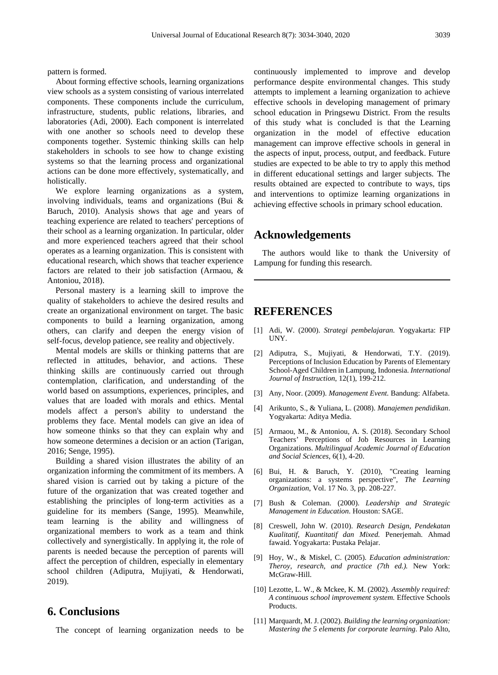pattern is formed.

About forming effective schools, learning organizations view schools as a system consisting of various interrelated components. These components include the curriculum, infrastructure, students, public relations, libraries, and laboratories (Adi, 2000). Each component is interrelated with one another so schools need to develop these components together. Systemic thinking skills can help stakeholders in schools to see how to change existing systems so that the learning process and organizational actions can be done more effectively, systematically, and holistically.

We explore learning organizations as a system, involving individuals, teams and organizations (Bui & Baruch, 2010). Analysis shows that age and years of teaching experience are related to teachers' perceptions of their school as a learning organization. In particular, older and more experienced teachers agreed that their school operates as a learning organization. This is consistent with educational research, which shows that teacher experience factors are related to their job satisfaction (Armaou, & Antoniou, 2018).

Personal mastery is a learning skill to improve the quality of stakeholders to achieve the desired results and create an organizational environment on target. The basic components to build a learning organization, among others, can clarify and deepen the energy vision of self-focus, develop patience, see reality and objectively.

Mental models are skills or thinking patterns that are reflected in attitudes, behavior, and actions. These thinking skills are continuously carried out through contemplation, clarification, and understanding of the world based on assumptions, experiences, principles, and values that are loaded with morals and ethics. Mental models affect a person's ability to understand the problems they face. Mental models can give an idea of how someone thinks so that they can explain why and how someone determines a decision or an action (Tarigan, 2016; Senge, 1995).

Building a shared vision illustrates the ability of an organization informing the commitment of its members. A shared vision is carried out by taking a picture of the future of the organization that was created together and establishing the principles of long-term activities as a guideline for its members (Sange, 1995). Meanwhile, team learning is the ability and willingness of organizational members to work as a team and think collectively and synergistically. In applying it, the role of parents is needed because the perception of parents will affect the perception of children, especially in elementary school children (Adiputra, Mujiyati, & Hendorwati, 2019).

### **6. Conclusions**

The concept of learning organization needs to be

continuously implemented to improve and develop performance despite environmental changes. This study attempts to implement a learning organization to achieve effective schools in developing management of primary school education in Pringsewu District. From the results of this study what is concluded is that the Learning organization in the model of effective education management can improve effective schools in general in the aspects of input, process, output, and feedback. Future studies are expected to be able to try to apply this method in different educational settings and larger subjects. The results obtained are expected to contribute to ways, tips and interventions to optimize learning organizations in achieving effective schools in primary school education.

#### **Acknowledgements**

The authors would like to thank the University of Lampung for funding this research.

## **REFERENCES**

- [1] Adi, W. (2000). *Strategi pembelajaran.* Yogyakarta: FIP UNY.
- [2] Adiputra, S., Mujiyati, & Hendorwati, T.Y. (2019). Perceptions of Inclusion Education by Parents of Elementary School-Aged Children in Lampung, Indonesia. *International Journal of Instruction*, 12(1), 199-212.
- [3] Any, Noor. (2009). *Management Event.* Bandung: Alfabeta.
- [4] Arikunto, S., & Yuliana, L. (2008). *Manajemen pendidikan*. Yogyakarta: Aditya Media.
- [5] Armaou, M., & Antoniou, A. S. (2018). Secondary School Teachers' Perceptions of Job Resources in Learning Organizations. *Multilingual Academic Journal of Education and Social Sciences*, 6(1), 4-20.
- [6] Bui, H. & Baruch, Y. (2010), "Creating learning organizations: a systems perspective", *The Learning Organization*, Vol. 17 No. 3, pp. 208-227.
- [7] Bush & Coleman. (2000). *Leadership and Strategic Management in Education*. Houston: SAGE.
- [8] Creswell, John W. (2010). *Research Design, Pendekatan Kualitatif, Kuantitatif dan Mixed.* Penerjemah. Ahmad fawaid. Yogyakarta: Pustaka Pelajar.
- [9] Hoy, W., & Miskel, C. (2005). *Education administration: Theroy, research, and practice (7th ed.).* New York: McGraw-Hill.
- [10] Lezotte, L. W., & Mckee, K. M. (2002). *Assembly required: A continuous school improvement system.* Effective Schools Products.
- [11] Marquardt, M. J. (2002). *Building the learning organization: Mastering the 5 elements for corporate learning*. Palo Alto,